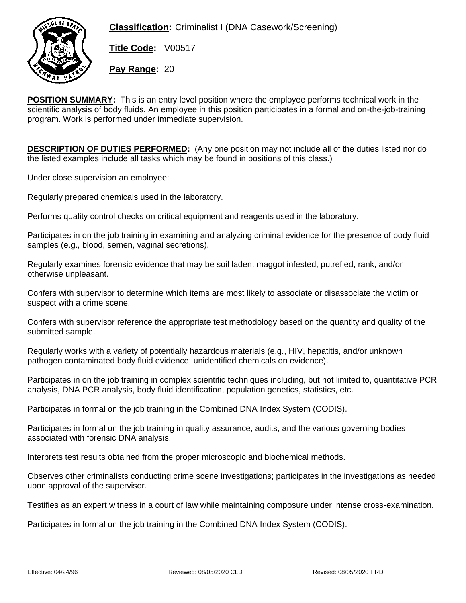**Classification:** Criminalist I (DNA Casework/Screening)



**Title Code:** V00517

**Pay Range:** 20

**POSITION SUMMARY:** This is an entry level position where the employee performs technical work in the scientific analysis of body fluids. An employee in this position participates in a formal and on-the-job-training program. Work is performed under immediate supervision.

**DESCRIPTION OF DUTIES PERFORMED:** (Any one position may not include all of the duties listed nor do the listed examples include all tasks which may be found in positions of this class.)

Under close supervision an employee:

Regularly prepared chemicals used in the laboratory.

Performs quality control checks on critical equipment and reagents used in the laboratory.

Participates in on the job training in examining and analyzing criminal evidence for the presence of body fluid samples (e.g., blood, semen, vaginal secretions).

Regularly examines forensic evidence that may be soil laden, maggot infested, putrefied, rank, and/or otherwise unpleasant.

Confers with supervisor to determine which items are most likely to associate or disassociate the victim or suspect with a crime scene.

Confers with supervisor reference the appropriate test methodology based on the quantity and quality of the submitted sample.

Regularly works with a variety of potentially hazardous materials (e.g., HIV, hepatitis, and/or unknown pathogen contaminated body fluid evidence; unidentified chemicals on evidence).

Participates in on the job training in complex scientific techniques including, but not limited to, quantitative PCR analysis, DNA PCR analysis, body fluid identification, population genetics, statistics, etc.

Participates in formal on the job training in the Combined DNA Index System (CODIS).

Participates in formal on the job training in quality assurance, audits, and the various governing bodies associated with forensic DNA analysis.

Interprets test results obtained from the proper microscopic and biochemical methods.

Observes other criminalists conducting crime scene investigations; participates in the investigations as needed upon approval of the supervisor.

Testifies as an expert witness in a court of law while maintaining composure under intense cross-examination.

Participates in formal on the job training in the Combined DNA Index System (CODIS).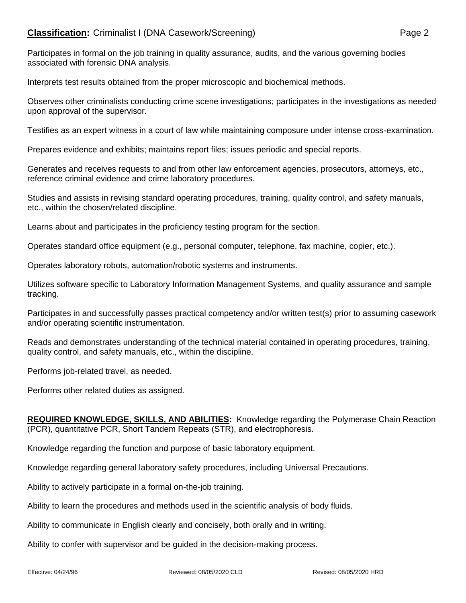## **Classification:** Criminalist I (DNA Casework/Screening) Page 2

Participates in formal on the job training in quality assurance, audits, and the various governing bodies associated with forensic DNA analysis.

Interprets test results obtained from the proper microscopic and biochemical methods.

Observes other criminalists conducting crime scene investigations; participates in the investigations as needed upon approval of the supervisor.

Testifies as an expert witness in a court of law while maintaining composure under intense cross-examination.

Prepares evidence and exhibits; maintains report files; issues periodic and special reports.

Generates and receives requests to and from other law enforcement agencies, prosecutors, attorneys, etc., reference criminal evidence and crime laboratory procedures.

Studies and assists in revising standard operating procedures, training, quality control, and safety manuals, etc., within the chosen/related discipline.

Learns about and participates in the proficiency testing program for the section.

Operates standard office equipment (e.g., personal computer, telephone, fax machine, copier, etc.).

Operates laboratory robots, automation/robotic systems and instruments.

Utilizes software specific to Laboratory Information Management Systems, and quality assurance and sample tracking.

Participates in and successfully passes practical competency and/or written test(s) prior to assuming casework and/or operating scientific instrumentation.

Reads and demonstrates understanding of the technical material contained in operating procedures, training, quality control, and safety manuals, etc., within the discipline.

Performs job-related travel, as needed.

Performs other related duties as assigned.

**REQUIRED KNOWLEDGE, SKILLS, AND ABILITIES:** Knowledge regarding the Polymerase Chain Reaction (PCR), quantitative PCR, Short Tandem Repeats (STR), and electrophoresis.

Knowledge regarding the function and purpose of basic laboratory equipment.

Knowledge regarding general laboratory safety procedures, including Universal Precautions.

Ability to actively participate in a formal on-the-job training.

Ability to learn the procedures and methods used in the scientific analysis of body fluids.

Ability to communicate in English clearly and concisely, both orally and in writing.

Ability to confer with supervisor and be guided in the decision-making process.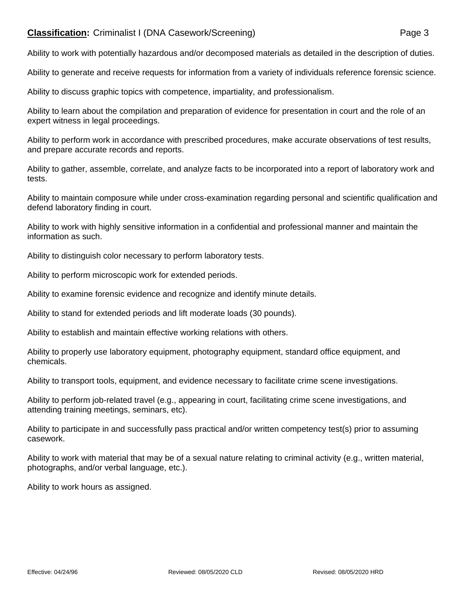## **Classification:** Criminalist I (DNA Casework/Screening) Page 3

Ability to work with potentially hazardous and/or decomposed materials as detailed in the description of duties.

Ability to generate and receive requests for information from a variety of individuals reference forensic science.

Ability to discuss graphic topics with competence, impartiality, and professionalism.

Ability to learn about the compilation and preparation of evidence for presentation in court and the role of an expert witness in legal proceedings.

Ability to perform work in accordance with prescribed procedures, make accurate observations of test results, and prepare accurate records and reports.

Ability to gather, assemble, correlate, and analyze facts to be incorporated into a report of laboratory work and tests.

Ability to maintain composure while under cross-examination regarding personal and scientific qualification and defend laboratory finding in court.

Ability to work with highly sensitive information in a confidential and professional manner and maintain the information as such.

Ability to distinguish color necessary to perform laboratory tests.

Ability to perform microscopic work for extended periods.

Ability to examine forensic evidence and recognize and identify minute details.

Ability to stand for extended periods and lift moderate loads (30 pounds).

Ability to establish and maintain effective working relations with others.

Ability to properly use laboratory equipment, photography equipment, standard office equipment, and chemicals.

Ability to transport tools, equipment, and evidence necessary to facilitate crime scene investigations.

Ability to perform job-related travel (e.g., appearing in court, facilitating crime scene investigations, and attending training meetings, seminars, etc).

Ability to participate in and successfully pass practical and/or written competency test(s) prior to assuming casework.

Ability to work with material that may be of a sexual nature relating to criminal activity (e.g., written material, photographs, and/or verbal language, etc.).

Ability to work hours as assigned.